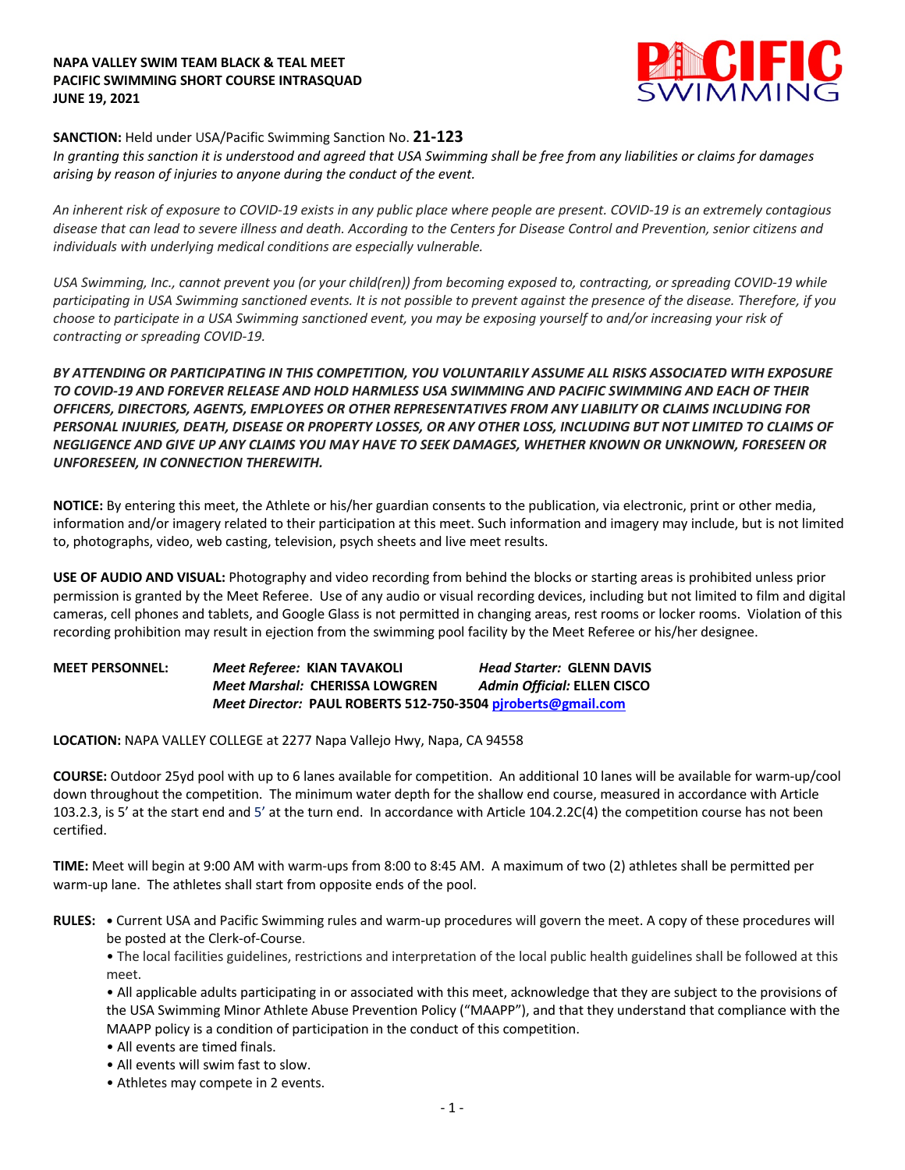#### **NAPA VALLEY SWIM TEAM BLACK & TEAL MEET PACIFIC SWIMMING SHORT COURSE INTRASQUAD JUNE 19, 2021**



## **SANCTION:** Held under USA/Pacific Swimming Sanction No. **21-123**

*In granting this sanction it is understood and agreed that USA Swimming shall be free from any liabilities or claims for damages arising by reason of injuries to anyone during the conduct of the event.* 

*An inherent risk of exposure to COVID-19 exists in any public place where people are present. COVID-19 is an extremely contagious disease that can lead to severe illness and death. According to the Centers for Disease Control and Prevention, senior citizens and individuals with underlying medical conditions are especially vulnerable.*

*USA Swimming, Inc., cannot prevent you (or your child(ren)) from becoming exposed to, contracting, or spreading COVID-19 while participating in USA Swimming sanctioned events. It is not possible to prevent against the presence of the disease. Therefore, if you choose to participate in a USA Swimming sanctioned event, you may be exposing yourself to and/or increasing your risk of contracting or spreading COVID-19.*

*BY ATTENDING OR PARTICIPATING IN THIS COMPETITION, YOU VOLUNTARILY ASSUME ALL RISKS ASSOCIATED WITH EXPOSURE TO COVID-19 AND FOREVER RELEASE AND HOLD HARMLESS USA SWIMMING AND PACIFIC SWIMMING AND EACH OF THEIR OFFICERS, DIRECTORS, AGENTS, EMPLOYEES OR OTHER REPRESENTATIVES FROM ANY LIABILITY OR CLAIMS INCLUDING FOR PERSONAL INJURIES, DEATH, DISEASE OR PROPERTY LOSSES, OR ANY OTHER LOSS, INCLUDING BUT NOT LIMITED TO CLAIMS OF NEGLIGENCE AND GIVE UP ANY CLAIMS YOU MAY HAVE TO SEEK DAMAGES, WHETHER KNOWN OR UNKNOWN, FORESEEN OR UNFORESEEN, IN CONNECTION THEREWITH.*

**NOTICE:** By entering this meet, the Athlete or his/her guardian consents to the publication, via electronic, print or other media, information and/or imagery related to their participation at this meet. Such information and imagery may include, but is not limited to, photographs, video, web casting, television, psych sheets and live meet results.

**USE OF AUDIO AND VISUAL:** Photography and video recording from behind the blocks or starting areas is prohibited unless prior permission is granted by the Meet Referee. Use of any audio or visual recording devices, including but not limited to film and digital cameras, cell phones and tablets, and Google Glass is not permitted in changing areas, rest rooms or locker rooms. Violation of this recording prohibition may result in ejection from the swimming pool facility by the Meet Referee or his/her designee.

# **MEET PERSONNEL:** *Meet Referee:* **KIAN TAVAKOLI** *Head Starter:* **GLENN DAVIS** *Meet Marshal:* **CHERISSA LOWGREN** *Admin Official:* **ELLEN CISCO** *Meet Director:* **PAUL ROBERTS 512-750-3504 pjroberts@gmail.com**

**LOCATION:** NAPA VALLEY COLLEGE at 2277 Napa Vallejo Hwy, Napa, CA 94558

**COURSE:** Outdoor 25yd pool with up to 6 lanes available for competition.An additional 10 lanes will be available for warm-up/cool down throughout the competition. The minimum water depth for the shallow end course, measured in accordance with Article 103.2.3, is 5' at the start end and 5' at the turn end. In accordance with Article 104.2.2C(4) the competition course has not been certified.

**TIME:** Meet will begin at 9:00 AM with warm-ups from 8:00 to 8:45 AM. A maximum of two (2) athletes shall be permitted per warm-up lane. The athletes shall start from opposite ends of the pool.

**RULES: •** Current USA and Pacific Swimming rules and warm-up procedures will govern the meet. A copy of these procedures will be posted at the Clerk-of-Course.

• The local facilities guidelines, restrictions and interpretation of the local public health guidelines shall be followed at this meet.

• All applicable adults participating in or associated with this meet, acknowledge that they are subject to the provisions of the USA Swimming Minor Athlete Abuse Prevention Policy ("MAAPP"), and that they understand that compliance with the MAAPP policy is a condition of participation in the conduct of this competition.

- All events are timed finals.
- All events will swim fast to slow.
- Athletes may compete in 2 events.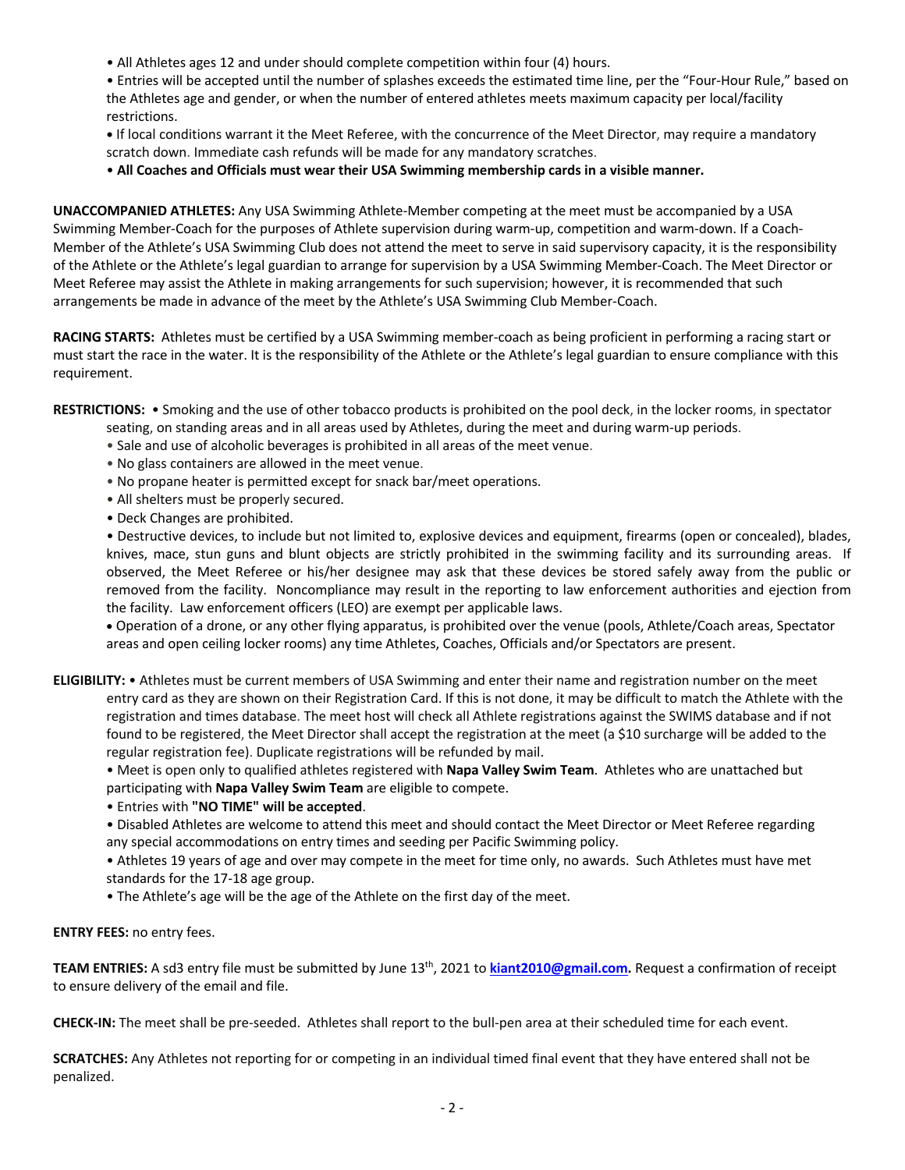• All Athletes ages 12 and under should complete competition within four (4) hours.

• Entries will be accepted until the number of splashes exceeds the estimated time line, per the "Four-Hour Rule," based on the Athletes age and gender, or when the number of entered athletes meets maximum capacity per local/facility restrictions.

**•** If local conditions warrant it the Meet Referee, with the concurrence of the Meet Director, may require a mandatory scratch down. Immediate cash refunds will be made for any mandatory scratches.

• **All Coaches and Officials must wear their USA Swimming membership cards in a visible manner.** 

**UNACCOMPANIED ATHLETES:** Any USA Swimming Athlete-Member competing at the meet must be accompanied by a USA Swimming Member-Coach for the purposes of Athlete supervision during warm-up, competition and warm-down. If a Coach-Member of the Athlete's USA Swimming Club does not attend the meet to serve in said supervisory capacity, it is the responsibility of the Athlete or the Athlete's legal guardian to arrange for supervision by a USA Swimming Member-Coach. The Meet Director or Meet Referee may assist the Athlete in making arrangements for such supervision; however, it is recommended that such arrangements be made in advance of the meet by the Athlete's USA Swimming Club Member-Coach.

**RACING STARTS:** Athletes must be certified by a USA Swimming member-coach as being proficient in performing a racing start or must start the race in the water. It is the responsibility of the Athlete or the Athlete's legal guardian to ensure compliance with this requirement.

**RESTRICTIONS:** • Smoking and the use of other tobacco products is prohibited on the pool deck, in the locker rooms, in spectator

- seating, on standing areas and in all areas used by Athletes, during the meet and during warm-up periods.
- Sale and use of alcoholic beverages is prohibited in all areas of the meet venue.
- No glass containers are allowed in the meet venue.
- No propane heater is permitted except for snack bar/meet operations.
- All shelters must be properly secured.
- Deck Changes are prohibited.

• Destructive devices, to include but not limited to, explosive devices and equipment, firearms (open or concealed), blades, knives, mace, stun guns and blunt objects are strictly prohibited in the swimming facility and its surrounding areas. If observed, the Meet Referee or his/her designee may ask that these devices be stored safely away from the public or removed from the facility. Noncompliance may result in the reporting to law enforcement authorities and ejection from the facility. Law enforcement officers (LEO) are exempt per applicable laws.

• Operation of a drone, or any other flying apparatus, is prohibited over the venue (pools, Athlete/Coach areas, Spectator areas and open ceiling locker rooms) any time Athletes, Coaches, Officials and/or Spectators are present.

**ELIGIBILITY:** • Athletes must be current members of USA Swimming and enter their name and registration number on the meet entry card as they are shown on their Registration Card. If this is not done, it may be difficult to match the Athlete with the registration and times database. The meet host will check all Athlete registrations against the SWIMS database and if not found to be registered, the Meet Director shall accept the registration at the meet (a \$10 surcharge will be added to the regular registration fee). Duplicate registrations will be refunded by mail.

• Meet is open only to qualified athletes registered with **Napa Valley Swim Team**. Athletes who are unattached but participating with **Napa Valley Swim Team** are eligible to compete.

• Entries with **"NO TIME" will be accepted**.

• Disabled Athletes are welcome to attend this meet and should contact the Meet Director or Meet Referee regarding any special accommodations on entry times and seeding per Pacific Swimming policy.

• Athletes 19 years of age and over may compete in the meet for time only, no awards. Such Athletes must have met standards for the 17-18 age group.

• The Athlete's age will be the age of the Athlete on the first day of the meet.

### **ENTRY FEES:** no entry fees.

**TEAM ENTRIES:** A sd3 entry file must be submitted by June 13th, 2021 to **kiant2010@gmail.com.** Request a confirmation of receipt to ensure delivery of the email and file.

**CHECK-IN:** The meet shall be pre-seeded. Athletes shall report to the bull-pen area at their scheduled time for each event.

**SCRATCHES:** Any Athletes not reporting for or competing in an individual timed final event that they have entered shall not be penalized.